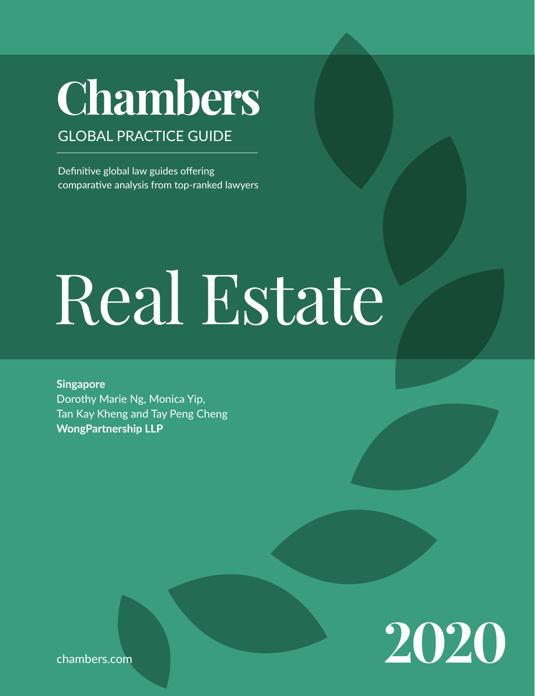# **Chambers**

GLOBAL PRACTICE GUIDE

Definitive global law guides offering comparative analysis from top-ranked lawyers

# Real Estate

**Singapore** Dorothy Marie Ng, Monica Yip, Tan Kay Kheng and Tay Peng Cheng **WongPartnership LLP**



chambers.com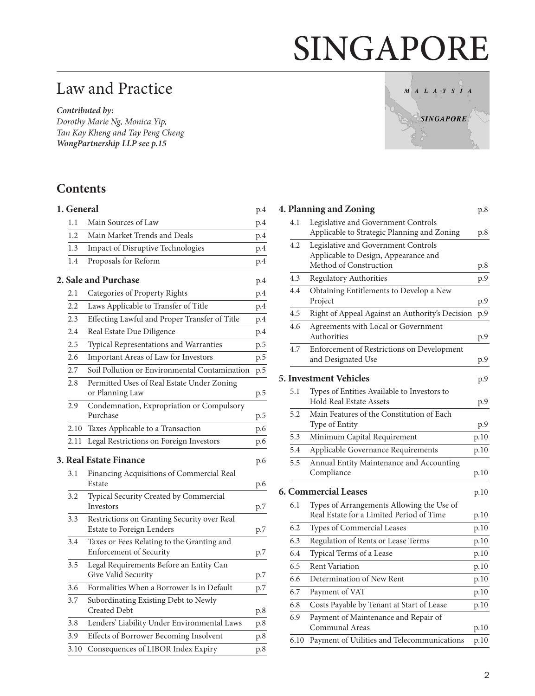# SINGAPORE

# Law and Practice

*Contributed by: Dorothy Marie Ng, Monica Yip, Tan Kay Kheng and Tay Peng Cheng WongPartnership LLP [see p.15](#page-14-0)*

# **Contents**

| 1. General |                                                                              | p.4 |
|------------|------------------------------------------------------------------------------|-----|
| 1.1        | Main Sources of Law                                                          | p.4 |
| 1.2        | Main Market Trends and Deals                                                 | p.4 |
| 1.3        | Impact of Disruptive Technologies                                            | p.4 |
| 1.4        | Proposals for Reform                                                         | p.4 |
|            | <b>2. Sale and Purchase</b>                                                  | p.4 |
| 2.1        | Categories of Property Rights                                                | p.4 |
| 2.2        | Laws Applicable to Transfer of Title                                         | p.4 |
| 2.3        | Effecting Lawful and Proper Transfer of Title                                | p.4 |
| 2.4        | Real Estate Due Diligence                                                    | p.4 |
| 2.5        | Typical Representations and Warranties                                       | p.5 |
| 2.6        | Important Areas of Law for Investors                                         | p.5 |
| 2.7        | Soil Pollution or Environmental Contamination                                | p.5 |
| 2.8        | Permitted Uses of Real Estate Under Zoning<br>or Planning Law                | p.5 |
| 2.9        | Condemnation, Expropriation or Compulsory<br>Purchase                        | p.5 |
| 2.10       | Taxes Applicable to a Transaction                                            | p.6 |
| 2.11       | Legal Restrictions on Foreign Investors                                      | p.6 |
|            | <b>3. Real Estate Finance</b>                                                | p.6 |
| 3.1        | Financing Acquisitions of Commercial Real<br>Estate                          | p.6 |
| 3.2        | Typical Security Created by Commercial<br>Investors                          | p.7 |
| 3.3        | Restrictions on Granting Security over Real<br>Estate to Foreign Lenders     | p.7 |
| 3.4        | Taxes or Fees Relating to the Granting and<br><b>Enforcement of Security</b> | p.7 |
| 3.5        | Legal Requirements Before an Entity Can<br>Give Valid Security               | p.7 |
| 3.6        | Formalities When a Borrower Is in Default                                    | p.7 |
| 3.7        | Subordinating Existing Debt to Newly<br><b>Created Debt</b>                  | p.8 |
| 3.8        | Lenders' Liability Under Environmental Laws                                  | p.8 |
| 3.9        | Effects of Borrower Becoming Insolvent                                       | p.8 |
| 3.10       | Consequences of LIBOR Index Expiry                                           | p.8 |



|      | 4. Planning and Zoning                                                                | p.8  |
|------|---------------------------------------------------------------------------------------|------|
| 4.1  | Legislative and Government Controls<br>Applicable to Strategic Planning and Zoning    | p.8  |
| 4.2  | Legislative and Government Controls<br>Applicable to Design, Appearance and           |      |
|      | Method of Construction                                                                | p.8  |
| 4.3  | Regulatory Authorities                                                                | p.9  |
| 4.4  | Obtaining Entitlements to Develop a New<br>Project                                    | p.9  |
| 4.5  | Right of Appeal Against an Authority's Decision                                       | p.9  |
| 4.6  | Agreements with Local or Government<br>Authorities                                    | p.9  |
| 4.7  | Enforcement of Restrictions on Development<br>and Designated Use                      | p.9  |
|      | 5. Investment Vehicles                                                                | p.9  |
| 5.1  | Types of Entities Available to Investors to<br><b>Hold Real Estate Assets</b>         | p.9  |
| 5.2  | Main Features of the Constitution of Each<br>Type of Entity                           | p.9  |
| 5.3  | Minimum Capital Requirement                                                           | p.10 |
| 5.4  | Applicable Governance Requirements                                                    | p.10 |
| 5.5  | Annual Entity Maintenance and Accounting<br>Compliance                                | p.10 |
|      | <b>6. Commercial Leases</b>                                                           | p.10 |
| 6.1  | Types of Arrangements Allowing the Use of<br>Real Estate for a Limited Period of Time | p.10 |
| 6.2  | Types of Commercial Leases                                                            | p.10 |
| 6.3  | Regulation of Rents or Lease Terms                                                    | p.10 |
| 6.4  | Typical Terms of a Lease                                                              | p.10 |
| 6.5  | <b>Rent Variation</b>                                                                 | p.10 |
| 6.6  | Determination of New Rent                                                             | p.10 |
| 6.7  | Payment of VAT                                                                        | p.10 |
| 6.8  | Costs Payable by Tenant at Start of Lease                                             | p.10 |
| 6.9  | Payment of Maintenance and Repair of<br>Communal Areas                                | p.10 |
| 6.10 | Payment of Utilities and Telecommunications                                           | p.10 |
|      |                                                                                       |      |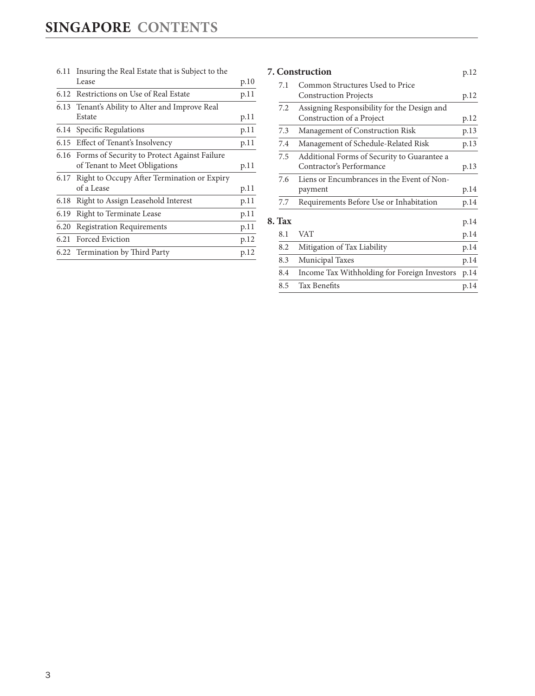| 6.11 | Insuring the Real Estate that is Subject to the   |      |
|------|---------------------------------------------------|------|
|      | Lease                                             | p.10 |
|      | 6.12 Restrictions on Use of Real Estate           | p.11 |
|      | 6.13 Tenant's Ability to Alter and Improve Real   |      |
|      | Estate                                            | p.11 |
|      | 6.14 Specific Regulations                         | p.11 |
|      | 6.15 Effect of Tenant's Insolvency                | p.11 |
|      | 6.16 Forms of Security to Protect Against Failure |      |
|      | of Tenant to Meet Obligations                     | p.11 |
|      | 6.17 Right to Occupy After Termination or Expiry  |      |
|      | of a Lease                                        | p.11 |
| 6.18 | Right to Assign Leasehold Interest                | p.11 |
| 6.19 | <b>Right to Terminate Lease</b>                   | p.11 |
| 6.20 | <b>Registration Requirements</b>                  | p.11 |
| 6.21 | Forced Eviction                                   | p.12 |
|      | 6.22 Termination by Third Party                   | p.12 |
|      |                                                   |      |

# **[7. Construction](#page-11-0)** p.12

| 7.1           | Common Structures Used to Price              |      |
|---------------|----------------------------------------------|------|
|               | <b>Construction Projects</b>                 | p.12 |
| 7.2           | Assigning Responsibility for the Design and  |      |
|               | Construction of a Project                    | p.12 |
| 7.3           | Management of Construction Risk              | p.13 |
| 7.4           | Management of Schedule-Related Risk          | p.13 |
| 7.5           | Additional Forms of Security to Guarantee a  |      |
|               | Contractor's Performance                     | p.13 |
| 7.6           | Liens or Encumbrances in the Event of Non-   |      |
|               | payment                                      | p.14 |
| 7.7           | Requirements Before Use or Inhabitation      | p.14 |
| <b>8. Tax</b> |                                              | p.14 |
| 8.1           | VAT                                          | p.14 |
| 8.2           | Mitigation of Tax Liability                  | p.14 |
| 8.3           | <b>Municipal Taxes</b>                       | p.14 |
| 8.4           | Income Tax Withholding for Foreign Investors | p.14 |
| 8.5           | Tax Benefits                                 | p.14 |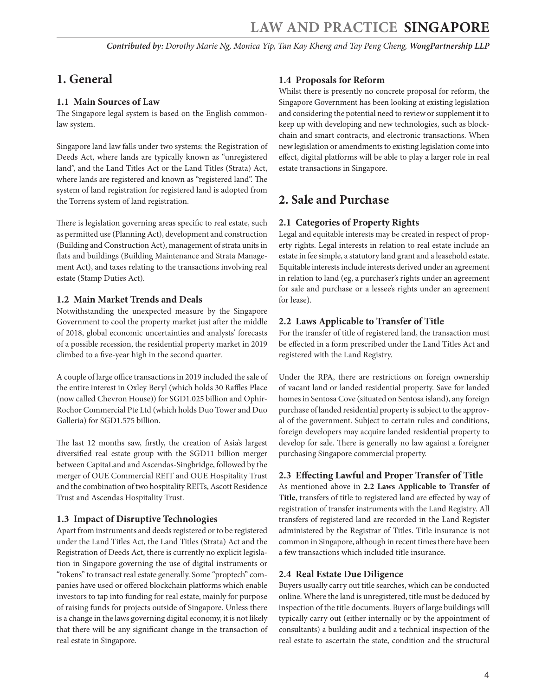# <span id="page-3-0"></span>**1. General**

# **1.1 Main Sources of Law**

The Singapore legal system is based on the English commonlaw system.

Singapore land law falls under two systems: the Registration of Deeds Act, where lands are typically known as "unregistered land", and the Land Titles Act or the Land Titles (Strata) Act, where lands are registered and known as "registered land". The system of land registration for registered land is adopted from the Torrens system of land registration.

There is legislation governing areas specific to real estate, such as permitted use (Planning Act), development and construction (Building and Construction Act), management of strata units in flats and buildings (Building Maintenance and Strata Management Act), and taxes relating to the transactions involving real estate (Stamp Duties Act).

# **1.2 Main Market Trends and Deals**

Notwithstanding the unexpected measure by the Singapore Government to cool the property market just after the middle of 2018, global economic uncertainties and analysts' forecasts of a possible recession, the residential property market in 2019 climbed to a five-year high in the second quarter.

A couple of large office transactions in 2019 included the sale of the entire interest in Oxley Beryl (which holds 30 Raffles Place (now called Chevron House)) for SGD1.025 billion and Ophir-Rochor Commercial Pte Ltd (which holds Duo Tower and Duo Galleria) for SGD1.575 billion.

The last 12 months saw, firstly, the creation of Asia's largest diversified real estate group with the SGD11 billion merger between CapitaLand and Ascendas-Singbridge, followed by the merger of OUE Commercial REIT and OUE Hospitality Trust and the combination of two hospitality REITs, Ascott Residence Trust and Ascendas Hospitality Trust.

# **1.3 Impact of Disruptive Technologies**

Apart from instruments and deeds registered or to be registered under the Land Titles Act, the Land Titles (Strata) Act and the Registration of Deeds Act, there is currently no explicit legislation in Singapore governing the use of digital instruments or "tokens" to transact real estate generally. Some "proptech" companies have used or offered blockchain platforms which enable investors to tap into funding for real estate, mainly for purpose of raising funds for projects outside of Singapore. Unless there is a change in the laws governing digital economy, it is not likely that there will be any significant change in the transaction of real estate in Singapore.

# **1.4 Proposals for Reform**

Whilst there is presently no concrete proposal for reform, the Singapore Government has been looking at existing legislation and considering the potential need to review or supplement it to keep up with developing and new technologies, such as blockchain and smart contracts, and electronic transactions. When new legislation or amendments to existing legislation come into effect, digital platforms will be able to play a larger role in real estate transactions in Singapore.

# **2. Sale and Purchase**

# **2.1 Categories of Property Rights**

Legal and equitable interests may be created in respect of property rights. Legal interests in relation to real estate include an estate in fee simple, a statutory land grant and a leasehold estate. Equitable interests include interests derived under an agreement in relation to land (eg, a purchaser's rights under an agreement for sale and purchase or a lessee's rights under an agreement for lease).

# **2.2 Laws Applicable to Transfer of Title**

For the transfer of title of registered land, the transaction must be effected in a form prescribed under the Land Titles Act and registered with the Land Registry.

Under the RPA, there are restrictions on foreign ownership of vacant land or landed residential property. Save for landed homes in Sentosa Cove (situated on Sentosa island), any foreign purchase of landed residential property is subject to the approval of the government. Subject to certain rules and conditions, foreign developers may acquire landed residential property to develop for sale. There is generally no law against a foreigner purchasing Singapore commercial property.

# **2.3 Effecting Lawful and Proper Transfer of Title**

As mentioned above in **2.2 Laws Applicable to Transfer of Title**, transfers of title to registered land are effected by way of registration of transfer instruments with the Land Registry. All transfers of registered land are recorded in the Land Register administered by the Registrar of Titles. Title insurance is not common in Singapore, although in recent times there have been a few transactions which included title insurance.

# **2.4 Real Estate Due Diligence**

Buyers usually carry out title searches, which can be conducted online. Where the land is unregistered, title must be deduced by inspection of the title documents. Buyers of large buildings will typically carry out (either internally or by the appointment of consultants) a building audit and a technical inspection of the real estate to ascertain the state, condition and the structural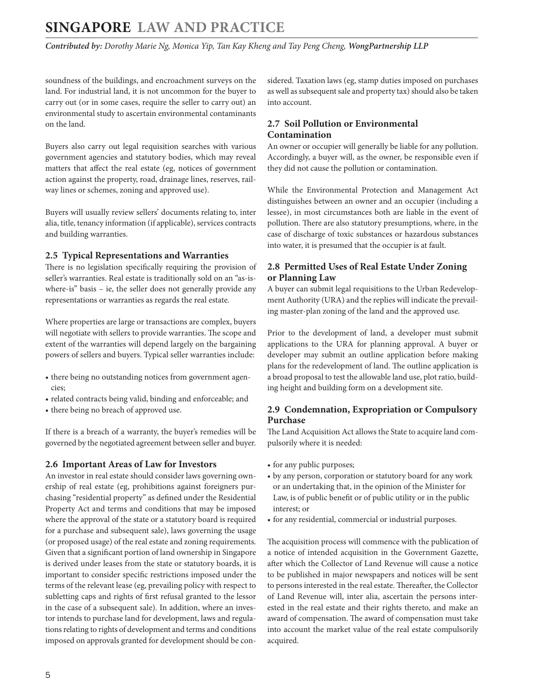<span id="page-4-0"></span>*Contributed by: Dorothy Marie Ng, Monica Yip, Tan Kay Kheng and Tay Peng Cheng, WongPartnership LLP* 

soundness of the buildings, and encroachment surveys on the land. For industrial land, it is not uncommon for the buyer to carry out (or in some cases, require the seller to carry out) an environmental study to ascertain environmental contaminants on the land.

Buyers also carry out legal requisition searches with various government agencies and statutory bodies, which may reveal matters that affect the real estate (eg, notices of government action against the property, road, drainage lines, reserves, railway lines or schemes, zoning and approved use).

Buyers will usually review sellers' documents relating to, inter alia, title, tenancy information (if applicable), services contracts and building warranties.

#### **2.5 Typical Representations and Warranties**

There is no legislation specifically requiring the provision of seller's warranties. Real estate is traditionally sold on an "as-iswhere-is" basis – ie, the seller does not generally provide any representations or warranties as regards the real estate.

Where properties are large or transactions are complex, buyers will negotiate with sellers to provide warranties. The scope and extent of the warranties will depend largely on the bargaining powers of sellers and buyers. Typical seller warranties include:

- there being no outstanding notices from government agencies;
- related contracts being valid, binding and enforceable; and
- there being no breach of approved use.

If there is a breach of a warranty, the buyer's remedies will be governed by the negotiated agreement between seller and buyer.

#### **2.6 Important Areas of Law for Investors**

An investor in real estate should consider laws governing ownership of real estate (eg, prohibitions against foreigners purchasing "residential property" as defined under the Residential Property Act and terms and conditions that may be imposed where the approval of the state or a statutory board is required for a purchase and subsequent sale), laws governing the usage (or proposed usage) of the real estate and zoning requirements. Given that a significant portion of land ownership in Singapore is derived under leases from the state or statutory boards, it is important to consider specific restrictions imposed under the terms of the relevant lease (eg, prevailing policy with respect to subletting caps and rights of first refusal granted to the lessor in the case of a subsequent sale). In addition, where an investor intends to purchase land for development, laws and regulations relating to rights of development and terms and conditions imposed on approvals granted for development should be considered. Taxation laws (eg, stamp duties imposed on purchases as well as subsequent sale and property tax) should also be taken into account.

# **2.7 Soil Pollution or Environmental Contamination**

An owner or occupier will generally be liable for any pollution. Accordingly, a buyer will, as the owner, be responsible even if they did not cause the pollution or contamination.

While the Environmental Protection and Management Act distinguishes between an owner and an occupier (including a lessee), in most circumstances both are liable in the event of pollution. There are also statutory presumptions, where, in the case of discharge of toxic substances or hazardous substances into water, it is presumed that the occupier is at fault.

# **2.8 Permitted Uses of Real Estate Under Zoning or Planning Law**

A buyer can submit legal requisitions to the Urban Redevelopment Authority (URA) and the replies will indicate the prevailing master-plan zoning of the land and the approved use.

Prior to the development of land, a developer must submit applications to the URA for planning approval. A buyer or developer may submit an outline application before making plans for the redevelopment of land. The outline application is a broad proposal to test the allowable land use, plot ratio, building height and building form on a development site.

# **2.9 Condemnation, Expropriation or Compulsory Purchase**

The Land Acquisition Act allows the State to acquire land compulsorily where it is needed:

- for any public purposes;
- by any person, corporation or statutory board for any work or an undertaking that, in the opinion of the Minister for Law, is of public benefit or of public utility or in the public interest; or
- for any residential, commercial or industrial purposes.

The acquisition process will commence with the publication of a notice of intended acquisition in the Government Gazette, after which the Collector of Land Revenue will cause a notice to be published in major newspapers and notices will be sent to persons interested in the real estate. Thereafter, the Collector of Land Revenue will, inter alia, ascertain the persons interested in the real estate and their rights thereto, and make an award of compensation. The award of compensation must take into account the market value of the real estate compulsorily acquired.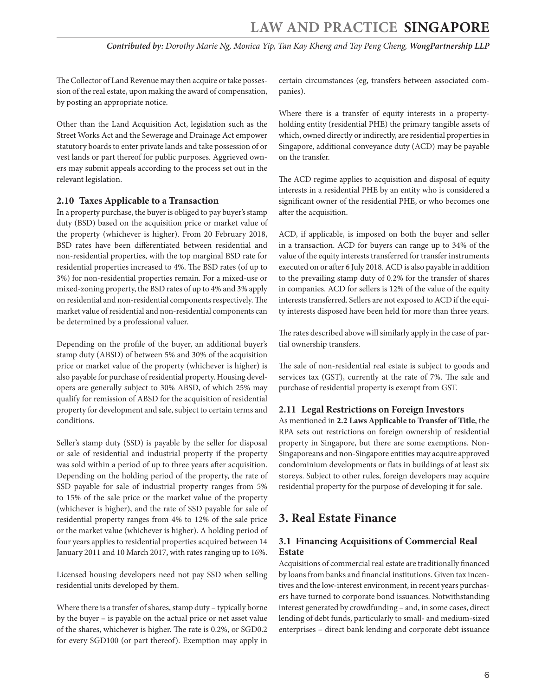<span id="page-5-0"></span>The Collector of Land Revenue may then acquire or take possession of the real estate, upon making the award of compensation, by posting an appropriate notice.

Other than the Land Acquisition Act, legislation such as the Street Works Act and the Sewerage and Drainage Act empower statutory boards to enter private lands and take possession of or vest lands or part thereof for public purposes. Aggrieved owners may submit appeals according to the process set out in the relevant legislation.

# **2.10 Taxes Applicable to a Transaction**

In a property purchase, the buyer is obliged to pay buyer's stamp duty (BSD) based on the acquisition price or market value of the property (whichever is higher). From 20 February 2018, BSD rates have been differentiated between residential and non-residential properties, with the top marginal BSD rate for residential properties increased to 4%. The BSD rates (of up to 3%) for non-residential properties remain. For a mixed-use or mixed-zoning property, the BSD rates of up to 4% and 3% apply on residential and non-residential components respectively. The market value of residential and non-residential components can be determined by a professional valuer.

Depending on the profile of the buyer, an additional buyer's stamp duty (ABSD) of between 5% and 30% of the acquisition price or market value of the property (whichever is higher) is also payable for purchase of residential property. Housing developers are generally subject to 30% ABSD, of which 25% may qualify for remission of ABSD for the acquisition of residential property for development and sale, subject to certain terms and conditions.

Seller's stamp duty (SSD) is payable by the seller for disposal or sale of residential and industrial property if the property was sold within a period of up to three years after acquisition. Depending on the holding period of the property, the rate of SSD payable for sale of industrial property ranges from 5% to 15% of the sale price or the market value of the property (whichever is higher), and the rate of SSD payable for sale of residential property ranges from 4% to 12% of the sale price or the market value (whichever is higher). A holding period of four years applies to residential properties acquired between 14 January 2011 and 10 March 2017, with rates ranging up to 16%.

Licensed housing developers need not pay SSD when selling residential units developed by them.

Where there is a transfer of shares, stamp duty – typically borne by the buyer – is payable on the actual price or net asset value of the shares, whichever is higher. The rate is 0.2%, or SGD0.2 for every SGD100 (or part thereof). Exemption may apply in

certain circumstances (eg, transfers between associated companies).

Where there is a transfer of equity interests in a propertyholding entity (residential PHE) the primary tangible assets of which, owned directly or indirectly, are residential properties in Singapore, additional conveyance duty (ACD) may be payable on the transfer.

The ACD regime applies to acquisition and disposal of equity interests in a residential PHE by an entity who is considered a significant owner of the residential PHE, or who becomes one after the acquisition.

ACD, if applicable, is imposed on both the buyer and seller in a transaction. ACD for buyers can range up to 34% of the value of the equity interests transferred for transfer instruments executed on or after 6 July 2018. ACD is also payable in addition to the prevailing stamp duty of 0.2% for the transfer of shares in companies. ACD for sellers is 12% of the value of the equity interests transferred. Sellers are not exposed to ACD if the equity interests disposed have been held for more than three years.

The rates described above will similarly apply in the case of partial ownership transfers.

The sale of non-residential real estate is subject to goods and services tax (GST), currently at the rate of 7%. The sale and purchase of residential property is exempt from GST.

# **2.11 Legal Restrictions on Foreign Investors**

As mentioned in **2.2 Laws Applicable to Transfer of Title**, the RPA sets out restrictions on foreign ownership of residential property in Singapore, but there are some exemptions. Non-Singaporeans and non-Singapore entities may acquire approved condominium developments or flats in buildings of at least six storeys. Subject to other rules, foreign developers may acquire residential property for the purpose of developing it for sale.

# **3. Real Estate Finance**

# **3.1 Financing Acquisitions of Commercial Real Estate**

Acquisitions of commercial real estate are traditionally financed by loans from banks and financial institutions. Given tax incentives and the low-interest environment, in recent years purchasers have turned to corporate bond issuances. Notwithstanding interest generated by crowdfunding – and, in some cases, direct lending of debt funds, particularly to small- and medium-sized enterprises – direct bank lending and corporate debt issuance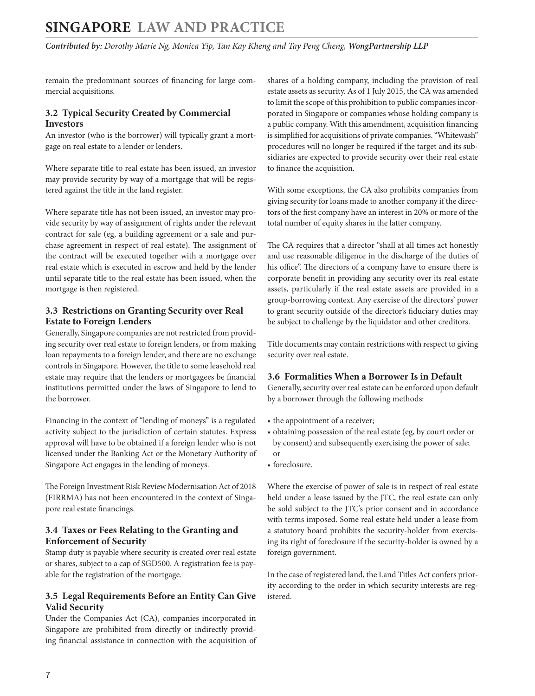<span id="page-6-0"></span>*Contributed by: Dorothy Marie Ng, Monica Yip, Tan Kay Kheng and Tay Peng Cheng, WongPartnership LLP* 

remain the predominant sources of financing for large commercial acquisitions.

#### **3.2 Typical Security Created by Commercial Investors**

An investor (who is the borrower) will typically grant a mortgage on real estate to a lender or lenders.

Where separate title to real estate has been issued, an investor may provide security by way of a mortgage that will be registered against the title in the land register.

Where separate title has not been issued, an investor may provide security by way of assignment of rights under the relevant contract for sale (eg, a building agreement or a sale and purchase agreement in respect of real estate). The assignment of the contract will be executed together with a mortgage over real estate which is executed in escrow and held by the lender until separate title to the real estate has been issued, when the mortgage is then registered.

# **3.3 Restrictions on Granting Security over Real Estate to Foreign Lenders**

Generally, Singapore companies are not restricted from providing security over real estate to foreign lenders, or from making loan repayments to a foreign lender, and there are no exchange controls in Singapore. However, the title to some leasehold real estate may require that the lenders or mortgagees be financial institutions permitted under the laws of Singapore to lend to the borrower.

Financing in the context of "lending of moneys" is a regulated activity subject to the jurisdiction of certain statutes. Express approval will have to be obtained if a foreign lender who is not licensed under the Banking Act or the Monetary Authority of Singapore Act engages in the lending of moneys.

The Foreign Investment Risk Review Modernisation Act of 2018 (FIRRMA) has not been encountered in the context of Singapore real estate financings.

# **3.4 Taxes or Fees Relating to the Granting and Enforcement of Security**

Stamp duty is payable where security is created over real estate or shares, subject to a cap of SGD500. A registration fee is payable for the registration of the mortgage.

# **3.5 Legal Requirements Before an Entity Can Give Valid Security**

Under the Companies Act (CA), companies incorporated in Singapore are prohibited from directly or indirectly providing financial assistance in connection with the acquisition of shares of a holding company, including the provision of real estate assets as security. As of 1 July 2015, the CA was amended to limit the scope of this prohibition to public companies incorporated in Singapore or companies whose holding company is a public company. With this amendment, acquisition financing is simplified for acquisitions of private companies. "Whitewash" procedures will no longer be required if the target and its subsidiaries are expected to provide security over their real estate to finance the acquisition.

With some exceptions, the CA also prohibits companies from giving security for loans made to another company if the directors of the first company have an interest in 20% or more of the total number of equity shares in the latter company.

The CA requires that a director "shall at all times act honestly and use reasonable diligence in the discharge of the duties of his office". The directors of a company have to ensure there is corporate benefit in providing any security over its real estate assets, particularly if the real estate assets are provided in a group-borrowing context. Any exercise of the directors' power to grant security outside of the director's fiduciary duties may be subject to challenge by the liquidator and other creditors.

Title documents may contain restrictions with respect to giving security over real estate.

# **3.6 Formalities When a Borrower Is in Default**

Generally, security over real estate can be enforced upon default by a borrower through the following methods:

- the appointment of a receiver;
- obtaining possession of the real estate (eg, by court order or by consent) and subsequently exercising the power of sale; or
- foreclosure.

Where the exercise of power of sale is in respect of real estate held under a lease issued by the JTC, the real estate can only be sold subject to the JTC's prior consent and in accordance with terms imposed. Some real estate held under a lease from a statutory board prohibits the security-holder from exercising its right of foreclosure if the security-holder is owned by a foreign government.

In the case of registered land, the Land Titles Act confers priority according to the order in which security interests are registered.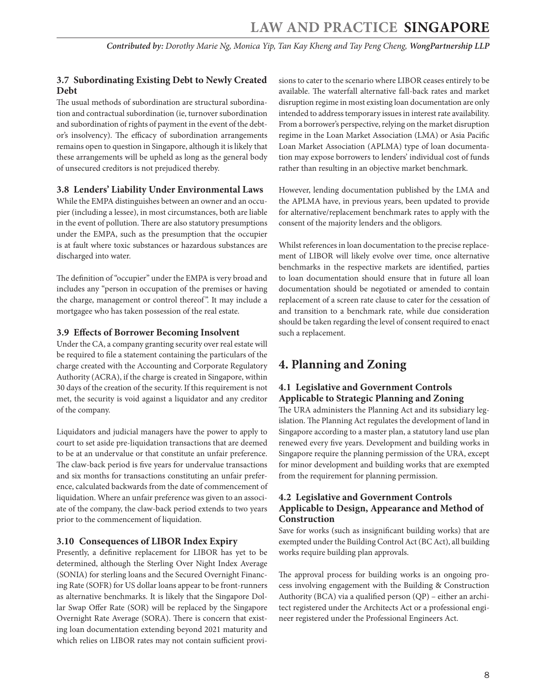# <span id="page-7-0"></span>**3.7 Subordinating Existing Debt to Newly Created Debt**

The usual methods of subordination are structural subordination and contractual subordination (ie, turnover subordination and subordination of rights of payment in the event of the debtor's insolvency). The efficacy of subordination arrangements remains open to question in Singapore, although it is likely that these arrangements will be upheld as long as the general body of unsecured creditors is not prejudiced thereby.

# **3.8 Lenders' Liability Under Environmental Laws**

While the EMPA distinguishes between an owner and an occupier (including a lessee), in most circumstances, both are liable in the event of pollution. There are also statutory presumptions under the EMPA, such as the presumption that the occupier is at fault where toxic substances or hazardous substances are discharged into water.

The definition of "occupier" under the EMPA is very broad and includes any "person in occupation of the premises or having the charge, management or control thereof". It may include a mortgagee who has taken possession of the real estate.

# **3.9 Effects of Borrower Becoming Insolvent**

Under the CA, a company granting security over real estate will be required to file a statement containing the particulars of the charge created with the Accounting and Corporate Regulatory Authority (ACRA), if the charge is created in Singapore, within 30 days of the creation of the security. If this requirement is not met, the security is void against a liquidator and any creditor of the company.

Liquidators and judicial managers have the power to apply to court to set aside pre-liquidation transactions that are deemed to be at an undervalue or that constitute an unfair preference. The claw-back period is five years for undervalue transactions and six months for transactions constituting an unfair preference, calculated backwards from the date of commencement of liquidation. Where an unfair preference was given to an associate of the company, the claw-back period extends to two years prior to the commencement of liquidation.

# **3.10 Consequences of LIBOR Index Expiry**

Presently, a definitive replacement for LIBOR has yet to be determined, although the Sterling Over Night Index Average (SONIA) for sterling loans and the Secured Overnight Financing Rate (SOFR) for US dollar loans appear to be front-runners as alternative benchmarks. It is likely that the Singapore Dollar Swap Offer Rate (SOR) will be replaced by the Singapore Overnight Rate Average (SORA). There is concern that existing loan documentation extending beyond 2021 maturity and which relies on LIBOR rates may not contain sufficient provisions to cater to the scenario where LIBOR ceases entirely to be available. The waterfall alternative fall-back rates and market disruption regime in most existing loan documentation are only intended to address temporary issues in interest rate availability. From a borrower's perspective, relying on the market disruption regime in the Loan Market Association (LMA) or Asia Pacific Loan Market Association (APLMA) type of loan documentation may expose borrowers to lenders' individual cost of funds rather than resulting in an objective market benchmark.

However, lending documentation published by the LMA and the APLMA have, in previous years, been updated to provide for alternative/replacement benchmark rates to apply with the consent of the majority lenders and the obligors.

Whilst references in loan documentation to the precise replacement of LIBOR will likely evolve over time, once alternative benchmarks in the respective markets are identified, parties to loan documentation should ensure that in future all loan documentation should be negotiated or amended to contain replacement of a screen rate clause to cater for the cessation of and transition to a benchmark rate, while due consideration should be taken regarding the level of consent required to enact such a replacement.

# **4. Planning and Zoning**

# **4.1 Legislative and Government Controls Applicable to Strategic Planning and Zoning**

The URA administers the Planning Act and its subsidiary legislation. The Planning Act regulates the development of land in Singapore according to a master plan, a statutory land use plan renewed every five years. Development and building works in Singapore require the planning permission of the URA, except for minor development and building works that are exempted from the requirement for planning permission.

# **4.2 Legislative and Government Controls Applicable to Design, Appearance and Method of Construction**

Save for works (such as insignificant building works) that are exempted under the Building Control Act (BC Act), all building works require building plan approvals.

The approval process for building works is an ongoing process involving engagement with the Building & Construction Authority (BCA) via a qualified person (QP) – either an architect registered under the Architects Act or a professional engineer registered under the Professional Engineers Act.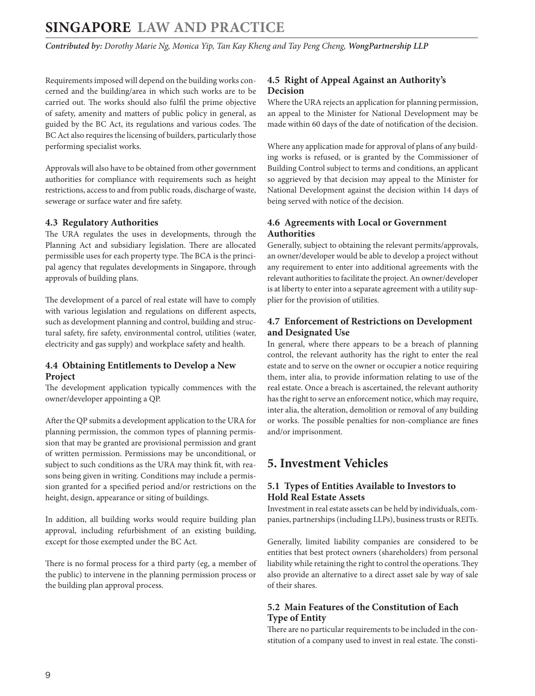<span id="page-8-0"></span>*Contributed by: Dorothy Marie Ng, Monica Yip, Tan Kay Kheng and Tay Peng Cheng, WongPartnership LLP* 

Requirements imposed will depend on the building works concerned and the building/area in which such works are to be carried out. The works should also fulfil the prime objective of safety, amenity and matters of public policy in general, as guided by the BC Act, its regulations and various codes. The BC Act also requires the licensing of builders, particularly those performing specialist works.

Approvals will also have to be obtained from other government authorities for compliance with requirements such as height restrictions, access to and from public roads, discharge of waste, sewerage or surface water and fire safety.

# **4.3 Regulatory Authorities**

The URA regulates the uses in developments, through the Planning Act and subsidiary legislation. There are allocated permissible uses for each property type. The BCA is the principal agency that regulates developments in Singapore, through approvals of building plans.

The development of a parcel of real estate will have to comply with various legislation and regulations on different aspects, such as development planning and control, building and structural safety, fire safety, environmental control, utilities (water, electricity and gas supply) and workplace safety and health.

# **4.4 Obtaining Entitlements to Develop a New Project**

The development application typically commences with the owner/developer appointing a QP.

After the QP submits a development application to the URA for planning permission, the common types of planning permission that may be granted are provisional permission and grant of written permission. Permissions may be unconditional, or subject to such conditions as the URA may think fit, with reasons being given in writing. Conditions may include a permission granted for a specified period and/or restrictions on the height, design, appearance or siting of buildings.

In addition, all building works would require building plan approval, including refurbishment of an existing building, except for those exempted under the BC Act.

There is no formal process for a third party (eg, a member of the public) to intervene in the planning permission process or the building plan approval process.

# **4.5 Right of Appeal Against an Authority's Decision**

Where the URA rejects an application for planning permission, an appeal to the Minister for National Development may be made within 60 days of the date of notification of the decision.

Where any application made for approval of plans of any building works is refused, or is granted by the Commissioner of Building Control subject to terms and conditions, an applicant so aggrieved by that decision may appeal to the Minister for National Development against the decision within 14 days of being served with notice of the decision.

# **4.6 Agreements with Local or Government Authorities**

Generally, subject to obtaining the relevant permits/approvals, an owner/developer would be able to develop a project without any requirement to enter into additional agreements with the relevant authorities to facilitate the project. An owner/developer is at liberty to enter into a separate agreement with a utility supplier for the provision of utilities.

# **4.7 Enforcement of Restrictions on Development and Designated Use**

In general, where there appears to be a breach of planning control, the relevant authority has the right to enter the real estate and to serve on the owner or occupier a notice requiring them, inter alia, to provide information relating to use of the real estate. Once a breach is ascertained, the relevant authority has the right to serve an enforcement notice, which may require, inter alia, the alteration, demolition or removal of any building or works. The possible penalties for non-compliance are fines and/or imprisonment.

# **5. Investment Vehicles**

# **5.1 Types of Entities Available to Investors to Hold Real Estate Assets**

Investment in real estate assets can be held by individuals, companies, partnerships (including LLPs), business trusts or REITs.

Generally, limited liability companies are considered to be entities that best protect owners (shareholders) from personal liability while retaining the right to control the operations. They also provide an alternative to a direct asset sale by way of sale of their shares.

# **5.2 Main Features of the Constitution of Each Type of Entity**

There are no particular requirements to be included in the constitution of a company used to invest in real estate. The consti-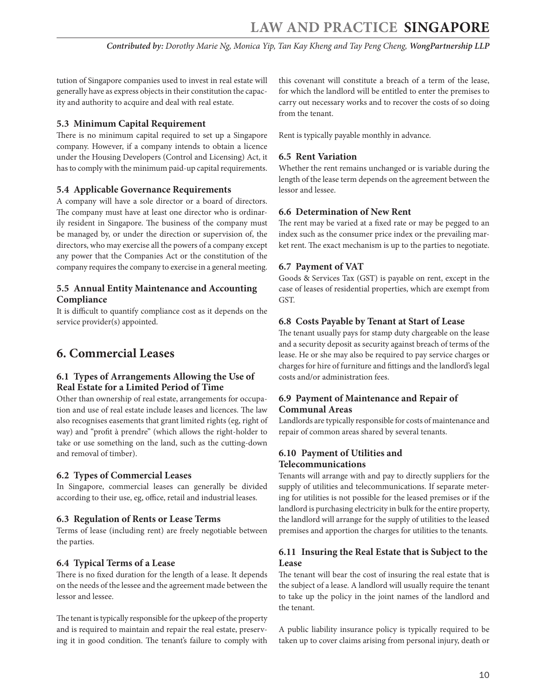<span id="page-9-0"></span>tution of Singapore companies used to invest in real estate will generally have as express objects in their constitution the capacity and authority to acquire and deal with real estate.

# **5.3 Minimum Capital Requirement**

There is no minimum capital required to set up a Singapore company. However, if a company intends to obtain a licence under the Housing Developers (Control and Licensing) Act, it has to comply with the minimum paid-up capital requirements.

# **5.4 Applicable Governance Requirements**

A company will have a sole director or a board of directors. The company must have at least one director who is ordinarily resident in Singapore. The business of the company must be managed by, or under the direction or supervision of, the directors, who may exercise all the powers of a company except any power that the Companies Act or the constitution of the company requires the company to exercise in a general meeting.

# **5.5 Annual Entity Maintenance and Accounting Compliance**

It is difficult to quantify compliance cost as it depends on the service provider(s) appointed.

# **6. Commercial Leases**

# **6.1 Types of Arrangements Allowing the Use of Real Estate for a Limited Period of Time**

Other than ownership of real estate, arrangements for occupation and use of real estate include leases and licences. The law also recognises easements that grant limited rights (eg, right of way) and "profit à prendre" (which allows the right-holder to take or use something on the land, such as the cutting-down and removal of timber).

# **6.2 Types of Commercial Leases**

In Singapore, commercial leases can generally be divided according to their use, eg, office, retail and industrial leases.

# **6.3 Regulation of Rents or Lease Terms**

Terms of lease (including rent) are freely negotiable between the parties.

# **6.4 Typical Terms of a Lease**

There is no fixed duration for the length of a lease. It depends on the needs of the lessee and the agreement made between the lessor and lessee.

The tenant is typically responsible for the upkeep of the property and is required to maintain and repair the real estate, preserving it in good condition. The tenant's failure to comply with

this covenant will constitute a breach of a term of the lease, for which the landlord will be entitled to enter the premises to carry out necessary works and to recover the costs of so doing from the tenant.

Rent is typically payable monthly in advance.

# **6.5 Rent Variation**

Whether the rent remains unchanged or is variable during the length of the lease term depends on the agreement between the lessor and lessee.

# **6.6 Determination of New Rent**

The rent may be varied at a fixed rate or may be pegged to an index such as the consumer price index or the prevailing market rent. The exact mechanism is up to the parties to negotiate.

# **6.7 Payment of VAT**

Goods & Services Tax (GST) is payable on rent, except in the case of leases of residential properties, which are exempt from GST.

# **6.8 Costs Payable by Tenant at Start of Lease**

The tenant usually pays for stamp duty chargeable on the lease and a security deposit as security against breach of terms of the lease. He or she may also be required to pay service charges or charges for hire of furniture and fittings and the landlord's legal costs and/or administration fees.

# **6.9 Payment of Maintenance and Repair of Communal Areas**

Landlords are typically responsible for costs of maintenance and repair of common areas shared by several tenants.

# **6.10 Payment of Utilities and Telecommunications**

Tenants will arrange with and pay to directly suppliers for the supply of utilities and telecommunications. If separate metering for utilities is not possible for the leased premises or if the landlord is purchasing electricity in bulk for the entire property, the landlord will arrange for the supply of utilities to the leased premises and apportion the charges for utilities to the tenants.

# **6.11 Insuring the Real Estate that is Subject to the Lease**

The tenant will bear the cost of insuring the real estate that is the subject of a lease. A landlord will usually require the tenant to take up the policy in the joint names of the landlord and the tenant.

A public liability insurance policy is typically required to be taken up to cover claims arising from personal injury, death or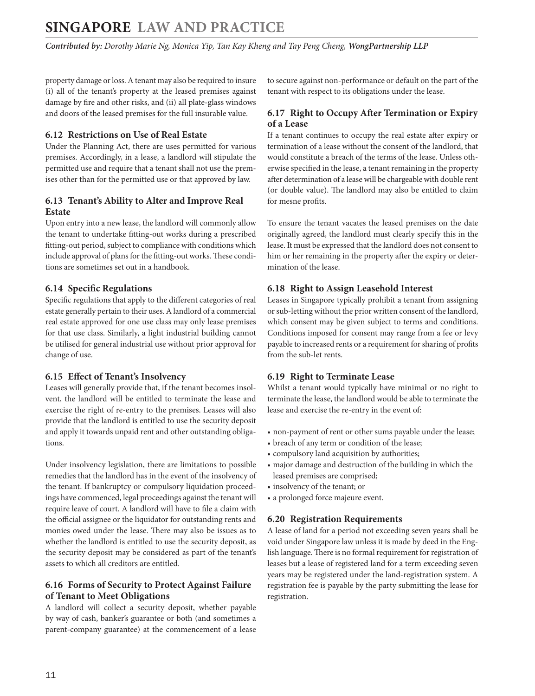<span id="page-10-0"></span>property damage or loss. A tenant may also be required to insure (i) all of the tenant's property at the leased premises against damage by fire and other risks, and (ii) all plate-glass windows and doors of the leased premises for the full insurable value.

# **6.12 Restrictions on Use of Real Estate**

Under the Planning Act, there are uses permitted for various premises. Accordingly, in a lease, a landlord will stipulate the permitted use and require that a tenant shall not use the premises other than for the permitted use or that approved by law.

# **6.13 Tenant's Ability to Alter and Improve Real Estate**

Upon entry into a new lease, the landlord will commonly allow the tenant to undertake fitting-out works during a prescribed fitting-out period, subject to compliance with conditions which include approval of plans for the fitting-out works. These conditions are sometimes set out in a handbook.

# **6.14 Specific Regulations**

Specific regulations that apply to the different categories of real estate generally pertain to their uses. A landlord of a commercial real estate approved for one use class may only lease premises for that use class. Similarly, a light industrial building cannot be utilised for general industrial use without prior approval for change of use.

# **6.15 Effect of Tenant's Insolvency**

Leases will generally provide that, if the tenant becomes insolvent, the landlord will be entitled to terminate the lease and exercise the right of re-entry to the premises. Leases will also provide that the landlord is entitled to use the security deposit and apply it towards unpaid rent and other outstanding obligations.

Under insolvency legislation, there are limitations to possible remedies that the landlord has in the event of the insolvency of the tenant. If bankruptcy or compulsory liquidation proceedings have commenced, legal proceedings against the tenant will require leave of court. A landlord will have to file a claim with the official assignee or the liquidator for outstanding rents and monies owed under the lease. There may also be issues as to whether the landlord is entitled to use the security deposit, as the security deposit may be considered as part of the tenant's assets to which all creditors are entitled.

# **6.16 Forms of Security to Protect Against Failure of Tenant to Meet Obligations**

A landlord will collect a security deposit, whether payable by way of cash, banker's guarantee or both (and sometimes a parent-company guarantee) at the commencement of a lease to secure against non-performance or default on the part of the tenant with respect to its obligations under the lease.

# **6.17 Right to Occupy After Termination or Expiry of a Lease**

If a tenant continues to occupy the real estate after expiry or termination of a lease without the consent of the landlord, that would constitute a breach of the terms of the lease. Unless otherwise specified in the lease, a tenant remaining in the property after determination of a lease will be chargeable with double rent (or double value). The landlord may also be entitled to claim for mesne profits.

To ensure the tenant vacates the leased premises on the date originally agreed, the landlord must clearly specify this in the lease. It must be expressed that the landlord does not consent to him or her remaining in the property after the expiry or determination of the lease.

#### **6.18 Right to Assign Leasehold Interest**

Leases in Singapore typically prohibit a tenant from assigning or sub-letting without the prior written consent of the landlord, which consent may be given subject to terms and conditions. Conditions imposed for consent may range from a fee or levy payable to increased rents or a requirement for sharing of profits from the sub-let rents.

# **6.19 Right to Terminate Lease**

Whilst a tenant would typically have minimal or no right to terminate the lease, the landlord would be able to terminate the lease and exercise the re-entry in the event of:

- non-payment of rent or other sums payable under the lease;
- breach of any term or condition of the lease;
- compulsory land acquisition by authorities;
- major damage and destruction of the building in which the leased premises are comprised;
- insolvency of the tenant; or
- a prolonged force majeure event.

#### **6.20 Registration Requirements**

A lease of land for a period not exceeding seven years shall be void under Singapore law unless it is made by deed in the English language. There is no formal requirement for registration of leases but a lease of registered land for a term exceeding seven years may be registered under the land-registration system. A registration fee is payable by the party submitting the lease for registration.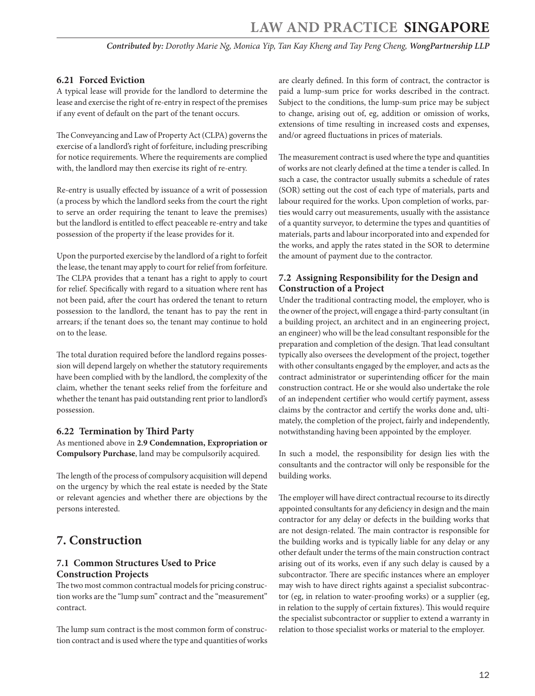# <span id="page-11-0"></span>**6.21 Forced Eviction**

A typical lease will provide for the landlord to determine the lease and exercise the right of re-entry in respect of the premises if any event of default on the part of the tenant occurs.

The Conveyancing and Law of Property Act (CLPA) governs the exercise of a landlord's right of forfeiture, including prescribing for notice requirements. Where the requirements are complied with, the landlord may then exercise its right of re-entry.

Re-entry is usually effected by issuance of a writ of possession (a process by which the landlord seeks from the court the right to serve an order requiring the tenant to leave the premises) but the landlord is entitled to effect peaceable re-entry and take possession of the property if the lease provides for it.

Upon the purported exercise by the landlord of a right to forfeit the lease, the tenant may apply to court for relief from forfeiture. The CLPA provides that a tenant has a right to apply to court for relief. Specifically with regard to a situation where rent has not been paid, after the court has ordered the tenant to return possession to the landlord, the tenant has to pay the rent in arrears; if the tenant does so, the tenant may continue to hold on to the lease.

The total duration required before the landlord regains possession will depend largely on whether the statutory requirements have been complied with by the landlord, the complexity of the claim, whether the tenant seeks relief from the forfeiture and whether the tenant has paid outstanding rent prior to landlord's possession.

# **6.22 Termination by Third Party**

As mentioned above in **2.9 Condemnation, Expropriation or Compulsory Purchase**, land may be compulsorily acquired.

The length of the process of compulsory acquisition will depend on the urgency by which the real estate is needed by the State or relevant agencies and whether there are objections by the persons interested.

# **7. Construction**

# **7.1 Common Structures Used to Price Construction Projects**

The two most common contractual models for pricing construction works are the "lump sum" contract and the "measurement" contract.

The lump sum contract is the most common form of construction contract and is used where the type and quantities of works are clearly defined. In this form of contract, the contractor is paid a lump-sum price for works described in the contract. Subject to the conditions, the lump-sum price may be subject to change, arising out of, eg, addition or omission of works, extensions of time resulting in increased costs and expenses, and/or agreed fluctuations in prices of materials.

The measurement contract is used where the type and quantities of works are not clearly defined at the time a tender is called. In such a case, the contractor usually submits a schedule of rates (SOR) setting out the cost of each type of materials, parts and labour required for the works. Upon completion of works, parties would carry out measurements, usually with the assistance of a quantity surveyor, to determine the types and quantities of materials, parts and labour incorporated into and expended for the works, and apply the rates stated in the SOR to determine the amount of payment due to the contractor.

# **7.2 Assigning Responsibility for the Design and Construction of a Project**

Under the traditional contracting model, the employer, who is the owner of the project, will engage a third-party consultant (in a building project, an architect and in an engineering project, an engineer) who will be the lead consultant responsible for the preparation and completion of the design. That lead consultant typically also oversees the development of the project, together with other consultants engaged by the employer, and acts as the contract administrator or superintending officer for the main construction contract. He or she would also undertake the role of an independent certifier who would certify payment, assess claims by the contractor and certify the works done and, ultimately, the completion of the project, fairly and independently, notwithstanding having been appointed by the employer.

In such a model, the responsibility for design lies with the consultants and the contractor will only be responsible for the building works.

The employer will have direct contractual recourse to its directly appointed consultants for any deficiency in design and the main contractor for any delay or defects in the building works that are not design-related. The main contractor is responsible for the building works and is typically liable for any delay or any other default under the terms of the main construction contract arising out of its works, even if any such delay is caused by a subcontractor. There are specific instances where an employer may wish to have direct rights against a specialist subcontractor (eg, in relation to water-proofing works) or a supplier (eg, in relation to the supply of certain fixtures). This would require the specialist subcontractor or supplier to extend a warranty in relation to those specialist works or material to the employer.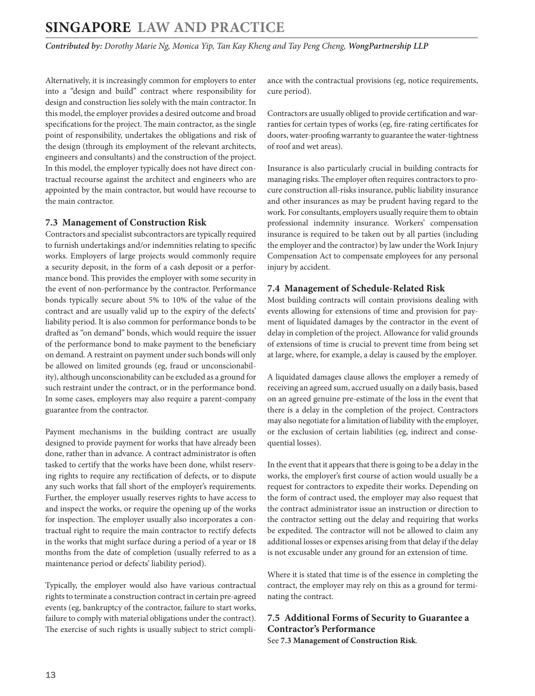<span id="page-12-0"></span>*Contributed by: Dorothy Marie Ng, Monica Yip, Tan Kay Kheng and Tay Peng Cheng, WongPartnership LLP* 

Alternatively, it is increasingly common for employers to enter into a "design and build" contract where responsibility for design and construction lies solely with the main contractor. In this model, the employer provides a desired outcome and broad specifications for the project. The main contractor, as the single point of responsibility, undertakes the obligations and risk of the design (through its employment of the relevant architects, engineers and consultants) and the construction of the project. In this model, the employer typically does not have direct contractual recourse against the architect and engineers who are appointed by the main contractor, but would have recourse to the main contractor.

#### **7.3 Management of Construction Risk**

Contractors and specialist subcontractors are typically required to furnish undertakings and/or indemnities relating to specific works. Employers of large projects would commonly require a security deposit, in the form of a cash deposit or a performance bond. This provides the employer with some security in the event of non-performance by the contractor. Performance bonds typically secure about 5% to 10% of the value of the contract and are usually valid up to the expiry of the defects' liability period. It is also common for performance bonds to be drafted as "on demand" bonds, which would require the issuer of the performance bond to make payment to the beneficiary on demand. A restraint on payment under such bonds will only be allowed on limited grounds (eg, fraud or unconscionability), although unconscionability can be excluded as a ground for such restraint under the contract, or in the performance bond. In some cases, employers may also require a parent-company guarantee from the contractor.

Payment mechanisms in the building contract are usually designed to provide payment for works that have already been done, rather than in advance. A contract administrator is often tasked to certify that the works have been done, whilst reserving rights to require any rectification of defects, or to dispute any such works that fall short of the employer's requirements. Further, the employer usually reserves rights to have access to and inspect the works, or require the opening up of the works for inspection. The employer usually also incorporates a contractual right to require the main contractor to rectify defects in the works that might surface during a period of a year or 18 months from the date of completion (usually referred to as a maintenance period or defects' liability period).

Typically, the employer would also have various contractual rights to terminate a construction contract in certain pre-agreed events (eg, bankruptcy of the contractor, failure to start works, failure to comply with material obligations under the contract). The exercise of such rights is usually subject to strict compliance with the contractual provisions (eg, notice requirements, cure period).

Contractors are usually obliged to provide certification and warranties for certain types of works (eg, fire-rating certificates for doors, water-proofing warranty to guarantee the water-tightness of roof and wet areas).

Insurance is also particularly crucial in building contracts for managing risks. The employer often requires contractors to procure construction all-risks insurance, public liability insurance and other insurances as may be prudent having regard to the work. For consultants, employers usually require them to obtain professional indemnity insurance. Workers' compensation insurance is required to be taken out by all parties (including the employer and the contractor) by law under the Work Injury Compensation Act to compensate employees for any personal injury by accident.

# **7.4 Management of Schedule-Related Risk**

Most building contracts will contain provisions dealing with events allowing for extensions of time and provision for payment of liquidated damages by the contractor in the event of delay in completion of the project. Allowance for valid grounds of extensions of time is crucial to prevent time from being set at large, where, for example, a delay is caused by the employer.

A liquidated damages clause allows the employer a remedy of receiving an agreed sum, accrued usually on a daily basis, based on an agreed genuine pre-estimate of the loss in the event that there is a delay in the completion of the project. Contractors may also negotiate for a limitation of liability with the employer, or the exclusion of certain liabilities (eg, indirect and consequential losses).

In the event that it appears that there is going to be a delay in the works, the employer's first course of action would usually be a request for contractors to expedite their works. Depending on the form of contract used, the employer may also request that the contract administrator issue an instruction or direction to the contractor setting out the delay and requiring that works be expedited. The contractor will not be allowed to claim any additional losses or expenses arising from that delay if the delay is not excusable under any ground for an extension of time.

Where it is stated that time is of the essence in completing the contract, the employer may rely on this as a ground for terminating the contract.

# **7.5 Additional Forms of Security to Guarantee a Contractor's Performance**

See **7.3 Management of Construction Risk**.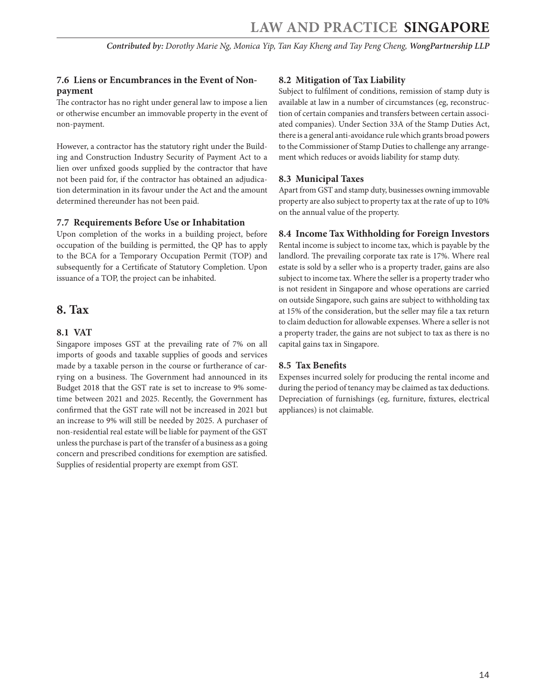# <span id="page-13-0"></span>**7.6 Liens or Encumbrances in the Event of Nonpayment**

The contractor has no right under general law to impose a lien or otherwise encumber an immovable property in the event of non-payment.

However, a contractor has the statutory right under the Building and Construction Industry Security of Payment Act to a lien over unfixed goods supplied by the contractor that have not been paid for, if the contractor has obtained an adjudication determination in its favour under the Act and the amount determined thereunder has not been paid.

#### **7.7 Requirements Before Use or Inhabitation**

Upon completion of the works in a building project, before occupation of the building is permitted, the QP has to apply to the BCA for a Temporary Occupation Permit (TOP) and subsequently for a Certificate of Statutory Completion. Upon issuance of a TOP, the project can be inhabited.

# **8. Tax**

#### **8.1 VAT**

Singapore imposes GST at the prevailing rate of 7% on all imports of goods and taxable supplies of goods and services made by a taxable person in the course or furtherance of carrying on a business. The Government had announced in its Budget 2018 that the GST rate is set to increase to 9% sometime between 2021 and 2025. Recently, the Government has confirmed that the GST rate will not be increased in 2021 but an increase to 9% will still be needed by 2025. A purchaser of non-residential real estate will be liable for payment of the GST unless the purchase is part of the transfer of a business as a going concern and prescribed conditions for exemption are satisfied. Supplies of residential property are exempt from GST.

#### **8.2 Mitigation of Tax Liability**

Subject to fulfilment of conditions, remission of stamp duty is available at law in a number of circumstances (eg, reconstruction of certain companies and transfers between certain associated companies). Under Section 33A of the Stamp Duties Act, there is a general anti-avoidance rule which grants broad powers to the Commissioner of Stamp Duties to challenge any arrangement which reduces or avoids liability for stamp duty.

# **8.3 Municipal Taxes**

Apart from GST and stamp duty, businesses owning immovable property are also subject to property tax at the rate of up to 10% on the annual value of the property.

#### **8.4 Income Tax Withholding for Foreign Investors**

Rental income is subject to income tax, which is payable by the landlord. The prevailing corporate tax rate is 17%. Where real estate is sold by a seller who is a property trader, gains are also subject to income tax. Where the seller is a property trader who is not resident in Singapore and whose operations are carried on outside Singapore, such gains are subject to withholding tax at 15% of the consideration, but the seller may file a tax return to claim deduction for allowable expenses. Where a seller is not a property trader, the gains are not subject to tax as there is no capital gains tax in Singapore.

#### **8.5 Tax Benefits**

Expenses incurred solely for producing the rental income and during the period of tenancy may be claimed as tax deductions. Depreciation of furnishings (eg, furniture, fixtures, electrical appliances) is not claimable.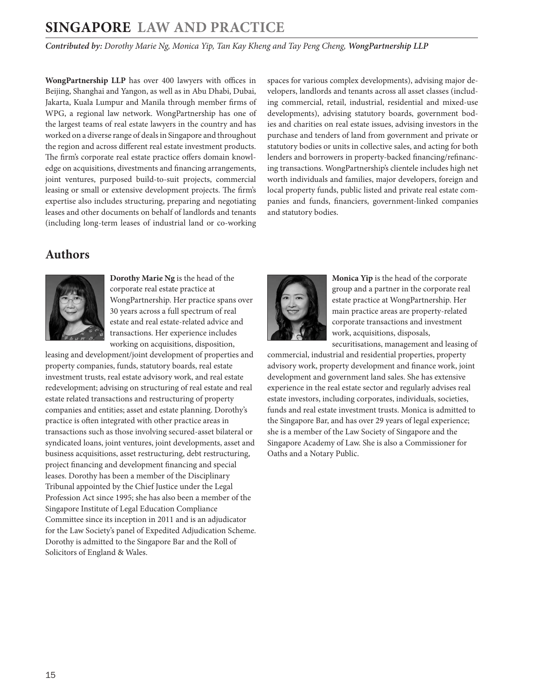*Contributed by: Dorothy Marie Ng, Monica Yip, Tan Kay Kheng and Tay Peng Cheng, WongPartnership LLP* 

**WongPartnership LLP** has over 400 lawyers with offices in Beijing, Shanghai and Yangon, as well as in Abu Dhabi, Dubai, Jakarta, Kuala Lumpur and Manila through member firms of WPG, a regional law network. WongPartnership has one of the largest teams of real estate lawyers in the country and has worked on a diverse range of deals in Singapore and throughout the region and across different real estate investment products. The firm's corporate real estate practice offers domain knowledge on acquisitions, divestments and financing arrangements, joint ventures, purposed build-to-suit projects, commercial leasing or small or extensive development projects. The firm's expertise also includes structuring, preparing and negotiating leases and other documents on behalf of landlords and tenants (including long-term leases of industrial land or co-working spaces for various complex developments), advising major developers, landlords and tenants across all asset classes (including commercial, retail, industrial, residential and mixed-use developments), advising statutory boards, government bodies and charities on real estate issues, advising investors in the purchase and tenders of land from government and private or statutory bodies or units in collective sales, and acting for both lenders and borrowers in property-backed financing/refinancing transactions. WongPartnership's clientele includes high net worth individuals and families, major developers, foreign and local property funds, public listed and private real estate companies and funds, financiers, government-linked companies and statutory bodies.

# <span id="page-14-0"></span>**Authors**



**Dorothy Marie Ng** is the head of the corporate real estate practice at WongPartnership. Her practice spans over 30 years across a full spectrum of real estate and real estate-related advice and transactions. Her experience includes working on acquisitions, disposition,

leasing and development/joint development of properties and property companies, funds, statutory boards, real estate investment trusts, real estate advisory work, and real estate redevelopment; advising on structuring of real estate and real estate related transactions and restructuring of property companies and entities; asset and estate planning. Dorothy's practice is often integrated with other practice areas in transactions such as those involving secured-asset bilateral or syndicated loans, joint ventures, joint developments, asset and business acquisitions, asset restructuring, debt restructuring, project financing and development financing and special leases. Dorothy has been a member of the Disciplinary Tribunal appointed by the Chief Justice under the Legal Profession Act since 1995; she has also been a member of the Singapore Institute of Legal Education Compliance Committee since its inception in 2011 and is an adjudicator for the Law Society's panel of Expedited Adjudication Scheme. Dorothy is admitted to the Singapore Bar and the Roll of Solicitors of England & Wales.



**Monica Yip** is the head of the corporate group and a partner in the corporate real estate practice at WongPartnership. Her main practice areas are property-related corporate transactions and investment work, acquisitions, disposals, securitisations, management and leasing of

commercial, industrial and residential properties, property advisory work, property development and finance work, joint development and government land sales. She has extensive experience in the real estate sector and regularly advises real estate investors, including corporates, individuals, societies, funds and real estate investment trusts. Monica is admitted to the Singapore Bar, and has over 29 years of legal experience; she is a member of the Law Society of Singapore and the Singapore Academy of Law. She is also a Commissioner for Oaths and a Notary Public.